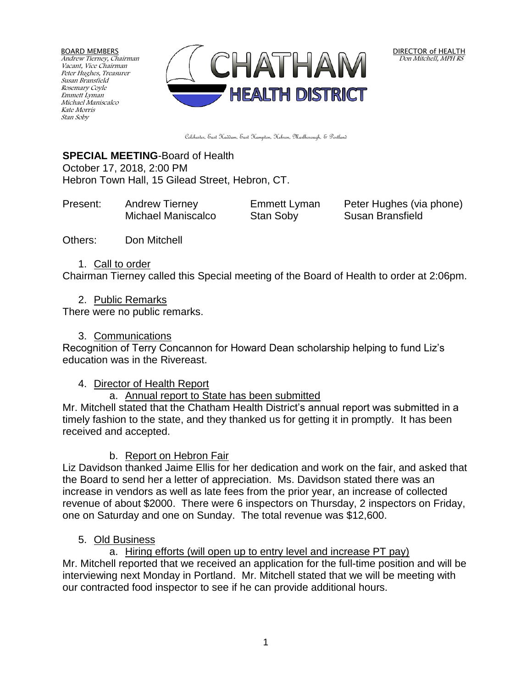BOARD MEMBERS Andrew Tierney, Chairman Vacant, Vice Chairman Peter Hughes, Treasurer Susan Bransfield Rosemary Coyle Emmett Lyman Michael Maniscalco Kate Morris Stan Soby



DIRECTOR of HEALTH Don Mitchell, MPH RS

Colchester, East Haddam, East Hampton, Hebron, Marlborough, & Portland

# **SPECIAL MEETING**-Board of Health October 17, 2018, 2:00 PM

Hebron Town Hall, 15 Gilead Street, Hebron, CT.

| Present: | <b>Andrew Tierney</b> | Emmett Lyman | Peter Hughes (via phone) |
|----------|-----------------------|--------------|--------------------------|
|          | Michael Maniscalco    | Stan Soby    | Susan Bransfield         |

Others: Don Mitchell

### 1. Call to order

Chairman Tierney called this Special meeting of the Board of Health to order at 2:06pm.

2. Public Remarks

There were no public remarks.

## 3. Communications

Recognition of Terry Concannon for Howard Dean scholarship helping to fund Liz's education was in the Rivereast.

# 4. Director of Health Report

# a. Annual report to State has been submitted

Mr. Mitchell stated that the Chatham Health District's annual report was submitted in a timely fashion to the state, and they thanked us for getting it in promptly. It has been received and accepted.

# b. Report on Hebron Fair

Liz Davidson thanked Jaime Ellis for her dedication and work on the fair, and asked that the Board to send her a letter of appreciation. Ms. Davidson stated there was an increase in vendors as well as late fees from the prior year, an increase of collected revenue of about \$2000. There were 6 inspectors on Thursday, 2 inspectors on Friday, one on Saturday and one on Sunday. The total revenue was \$12,600.

# 5. Old Business

a. Hiring efforts (will open up to entry level and increase PT pay) Mr. Mitchell reported that we received an application for the full-time position and will be interviewing next Monday in Portland. Mr. Mitchell stated that we will be meeting with our contracted food inspector to see if he can provide additional hours.